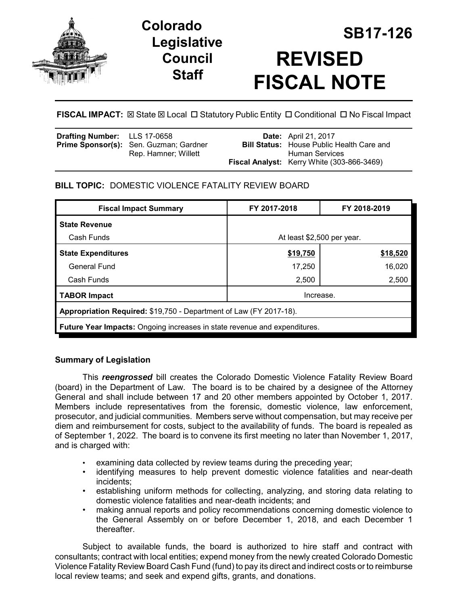

# **Legislative Council Staff**

# **SB17-126 Colorado REVISED FISCAL NOTE**

FISCAL IMPACT:  $\boxtimes$  State  $\boxtimes$  Local  $\Box$  Statutory Public Entity  $\Box$  Conditional  $\Box$  No Fiscal Impact

| <b>Drafting Number:</b> LLS 17-0658 | <b>Prime Sponsor(s):</b> Sen. Guzman; Gardner<br>Rep. Hamner; Willett | <b>Date:</b> April 21, 2017<br><b>Bill Status:</b> House Public Health Care and<br>Human Services |
|-------------------------------------|-----------------------------------------------------------------------|---------------------------------------------------------------------------------------------------|
|                                     |                                                                       | <b>Fiscal Analyst:</b> Kerry White (303-866-3469)                                                 |

## **BILL TOPIC:** DOMESTIC VIOLENCE FATALITY REVIEW BOARD

| <b>Fiscal Impact Summary</b>                                                     | FY 2017-2018               | FY 2018-2019 |  |  |
|----------------------------------------------------------------------------------|----------------------------|--------------|--|--|
| <b>State Revenue</b>                                                             |                            |              |  |  |
| Cash Funds                                                                       | At least \$2,500 per year. |              |  |  |
| <b>State Expenditures</b>                                                        | \$19,750                   | \$18,520     |  |  |
| General Fund                                                                     | 17,250                     | 16,020       |  |  |
| Cash Funds                                                                       | 2,500                      | 2,500        |  |  |
| <b>TABOR Impact</b>                                                              | Increase.                  |              |  |  |
| Appropriation Required: \$19,750 - Department of Law (FY 2017-18).               |                            |              |  |  |
| <b>Future Year Impacts: Ongoing increases in state revenue and expenditures.</b> |                            |              |  |  |

### **Summary of Legislation**

This *reengrossed* bill creates the Colorado Domestic Violence Fatality Review Board (board) in the Department of Law. The board is to be chaired by a designee of the Attorney General and shall include between 17 and 20 other members appointed by October 1, 2017. Members include representatives from the forensic, domestic violence, law enforcement, prosecutor, and judicial communities. Members serve without compensation, but may receive per diem and reimbursement for costs, subject to the availability of funds. The board is repealed as of September 1, 2022. The board is to convene its first meeting no later than November 1, 2017, and is charged with:

- examining data collected by review teams during the preceding year;
- identifying measures to help prevent domestic violence fatalities and near-death incidents;
- establishing uniform methods for collecting, analyzing, and storing data relating to domestic violence fatalities and near-death incidents; and
- making annual reports and policy recommendations concerning domestic violence to the General Assembly on or before December 1, 2018, and each December 1 thereafter.

Subject to available funds, the board is authorized to hire staff and contract with consultants; contract with local entities; expend money from the newly created Colorado Domestic Violence Fatality Review Board Cash Fund (fund) to pay its direct and indirect costs or to reimburse local review teams; and seek and expend gifts, grants, and donations.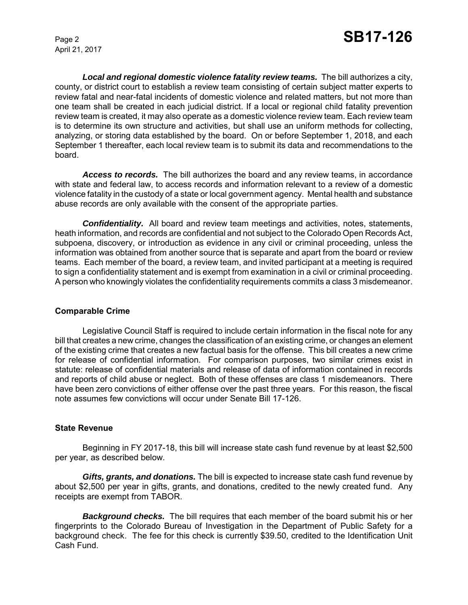*Local and regional domestic violence fatality review teams.* The bill authorizes a city, county, or district court to establish a review team consisting of certain subject matter experts to review fatal and near-fatal incidents of domestic violence and related matters, but not more than one team shall be created in each judicial district. If a local or regional child fatality prevention review team is created, it may also operate as a domestic violence review team. Each review team is to determine its own structure and activities, but shall use an uniform methods for collecting, analyzing, or storing data established by the board. On or before September 1, 2018, and each September 1 thereafter, each local review team is to submit its data and recommendations to the board.

*Access to records.* The bill authorizes the board and any review teams, in accordance with state and federal law, to access records and information relevant to a review of a domestic violence fatality in the custody of a state or local government agency. Mental health and substance abuse records are only available with the consent of the appropriate parties.

**Confidentiality.** All board and review team meetings and activities, notes, statements, heath information, and records are confidential and not subject to the Colorado Open Records Act, subpoena, discovery, or introduction as evidence in any civil or criminal proceeding, unless the information was obtained from another source that is separate and apart from the board or review teams. Each member of the board, a review team, and invited participant at a meeting is required to sign a confidentiality statement and is exempt from examination in a civil or criminal proceeding. A person who knowingly violates the confidentiality requirements commits a class 3 misdemeanor.

#### **Comparable Crime**

Legislative Council Staff is required to include certain information in the fiscal note for any bill that creates a new crime, changes the classification of an existing crime, or changes an element of the existing crime that creates a new factual basis for the offense. This bill creates a new crime for release of confidential information. For comparison purposes, two similar crimes exist in statute: release of confidential materials and release of data of information contained in records and reports of child abuse or neglect. Both of these offenses are class 1 misdemeanors. There have been zero convictions of either offense over the past three years. For this reason, the fiscal note assumes few convictions will occur under Senate Bill 17-126.

#### **State Revenue**

Beginning in FY 2017-18, this bill will increase state cash fund revenue by at least \$2,500 per year, as described below.

*Gifts, grants, and donations.* The bill is expected to increase state cash fund revenue by about \$2,500 per year in gifts, grants, and donations, credited to the newly created fund. Any receipts are exempt from TABOR.

*Background checks.* The bill requires that each member of the board submit his or her fingerprints to the Colorado Bureau of Investigation in the Department of Public Safety for a background check. The fee for this check is currently \$39.50, credited to the Identification Unit Cash Fund.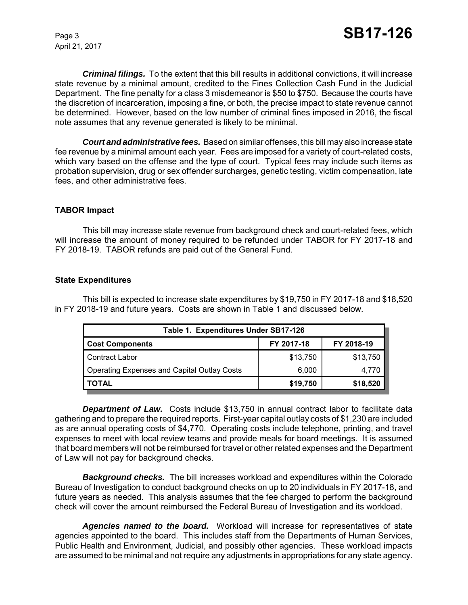*Criminal filings.* To the extent that this bill results in additional convictions, it will increase state revenue by a minimal amount, credited to the Fines Collection Cash Fund in the Judicial Department. The fine penalty for a class 3 misdemeanor is \$50 to \$750. Because the courts have the discretion of incarceration, imposing a fine, or both, the precise impact to state revenue cannot be determined. However, based on the low number of criminal fines imposed in 2016, the fiscal note assumes that any revenue generated is likely to be minimal.

*Court and administrative fees.* Based on similar offenses, this bill may also increase state fee revenue by a minimal amount each year. Fees are imposed for a variety of court-related costs, which vary based on the offense and the type of court. Typical fees may include such items as probation supervision, drug or sex offender surcharges, genetic testing, victim compensation, late fees, and other administrative fees.

#### **TABOR Impact**

This bill may increase state revenue from background check and court-related fees, which will increase the amount of money required to be refunded under TABOR for FY 2017-18 and FY 2018-19. TABOR refunds are paid out of the General Fund.

#### **State Expenditures**

This bill is expected to increase state expenditures by \$19,750 in FY 2017-18 and \$18,520 in FY 2018-19 and future years. Costs are shown in Table 1 and discussed below.

| Table 1. Expenditures Under SB17-126               |            |            |  |  |
|----------------------------------------------------|------------|------------|--|--|
| <b>Cost Components</b>                             | FY 2017-18 | FY 2018-19 |  |  |
| Contract Labor                                     | \$13,750   | \$13,750   |  |  |
| <b>Operating Expenses and Capital Outlay Costs</b> | 6,000      | 4,770      |  |  |
| <b>TOTAL</b>                                       | \$19,750   | \$18,520   |  |  |

*Department of Law.* Costs include \$13,750 in annual contract labor to facilitate data gathering and to prepare the required reports. First-year capital outlay costs of \$1,230 are included as are annual operating costs of \$4,770. Operating costs include telephone, printing, and travel expenses to meet with local review teams and provide meals for board meetings. It is assumed that board members will not be reimbursed for travel or other related expenses and the Department of Law will not pay for background checks.

*Background checks.* The bill increases workload and expenditures within the Colorado Bureau of Investigation to conduct background checks on up to 20 individuals in FY 2017-18, and future years as needed. This analysis assumes that the fee charged to perform the background check will cover the amount reimbursed the Federal Bureau of Investigation and its workload.

*Agencies named to the board.* Workload will increase for representatives of state agencies appointed to the board. This includes staff from the Departments of Human Services, Public Health and Environment, Judicial, and possibly other agencies. These workload impacts are assumed to be minimal and not require any adjustments in appropriations for any state agency.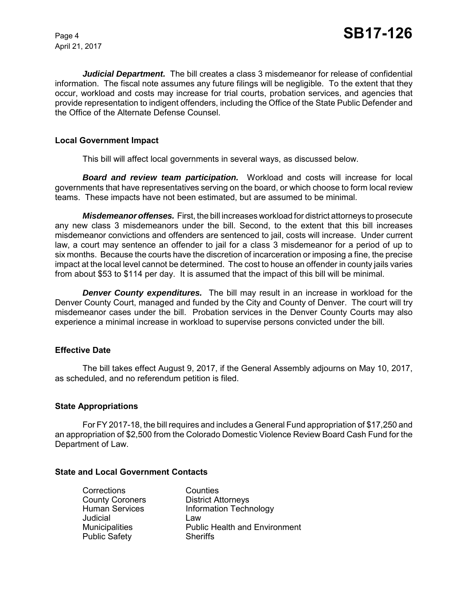*Judicial Department.* The bill creates a class 3 misdemeanor for release of confidential information. The fiscal note assumes any future filings will be negligible. To the extent that they occur, workload and costs may increase for trial courts, probation services, and agencies that provide representation to indigent offenders, including the Office of the State Public Defender and the Office of the Alternate Defense Counsel.

#### **Local Government Impact**

This bill will affect local governments in several ways, as discussed below.

*Board and review team participation.* Workload and costs will increase for local governments that have representatives serving on the board, or which choose to form local review teams. These impacts have not been estimated, but are assumed to be minimal.

*Misdemeanor offenses.* First, the bill increases workload for district attorneys to prosecute any new class 3 misdemeanors under the bill. Second, to the extent that this bill increases misdemeanor convictions and offenders are sentenced to jail, costs will increase. Under current law, a court may sentence an offender to jail for a class 3 misdemeanor for a period of up to six months. Because the courts have the discretion of incarceration or imposing a fine, the precise impact at the local level cannot be determined. The cost to house an offender in county jails varies from about \$53 to \$114 per day. It is assumed that the impact of this bill will be minimal.

*Denver County expenditures.* The bill may result in an increase in workload for the Denver County Court, managed and funded by the City and County of Denver. The court will try misdemeanor cases under the bill. Probation services in the Denver County Courts may also experience a minimal increase in workload to supervise persons convicted under the bill.

#### **Effective Date**

The bill takes effect August 9, 2017, if the General Assembly adjourns on May 10, 2017, as scheduled, and no referendum petition is filed.

#### **State Appropriations**

For FY 2017-18, the bill requires and includes a General Fund appropriation of \$17,250 and an appropriation of \$2,500 from the Colorado Domestic Violence Review Board Cash Fund for the Department of Law.

#### **State and Local Government Contacts**

| Corrections            | Counties                             |
|------------------------|--------------------------------------|
| <b>County Coroners</b> | <b>District Attorneys</b>            |
| <b>Human Services</b>  | <b>Information Technology</b>        |
| Judicial               | Law                                  |
| <b>Municipalities</b>  | <b>Public Health and Environment</b> |
| <b>Public Safety</b>   | <b>Sheriffs</b>                      |
|                        |                                      |